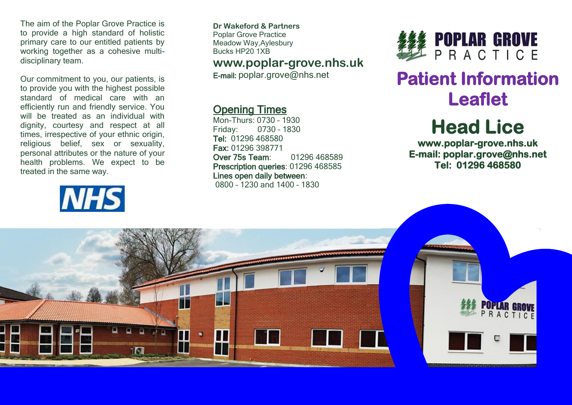The aim of the Poplar Grove Practice is to provide a high standard of holistic primary care to our entitled patients by working together as a cohesive multidisciplinary team.

Our commitment to you, our patients, is to provide you with the highest possible standard of medical care with an efficiently run and friendly service. You will be treated as an individual with dignity, courtesy and respect at all times, irrespective of your ethnic origin, religious belief, sex or sexuality, personal attributes or the nature of your health problems. We expect to be treated in the same way.

# **NHS**

**Dr Wakeford & Partners** Poplar Grove Practice Meadow Way,Aylesbury Bucks HP20 1XB

## **www.poplar-grove.nhs.uk**

E-mail: [poplar.grove@nhs.net](mailto:poplar.grove@nhs.net)

# Opening Times

Mon-Thurs: 0730 – 1930 Friday: 0730 – 1830 Tel: 01296 468580 Fax: 01296 398771 Over 75s Team: 01296 468589 Prescription queries: 01296 468585 Lines open daily between: 0800 – 1230 and 1400 – 1830



# **Patient Information Leaflet**

# **Head Lice**

**www.poplar-grove.nhs.uk E-mail: poplar.grove@nhs.net Tel: 01296 468580**